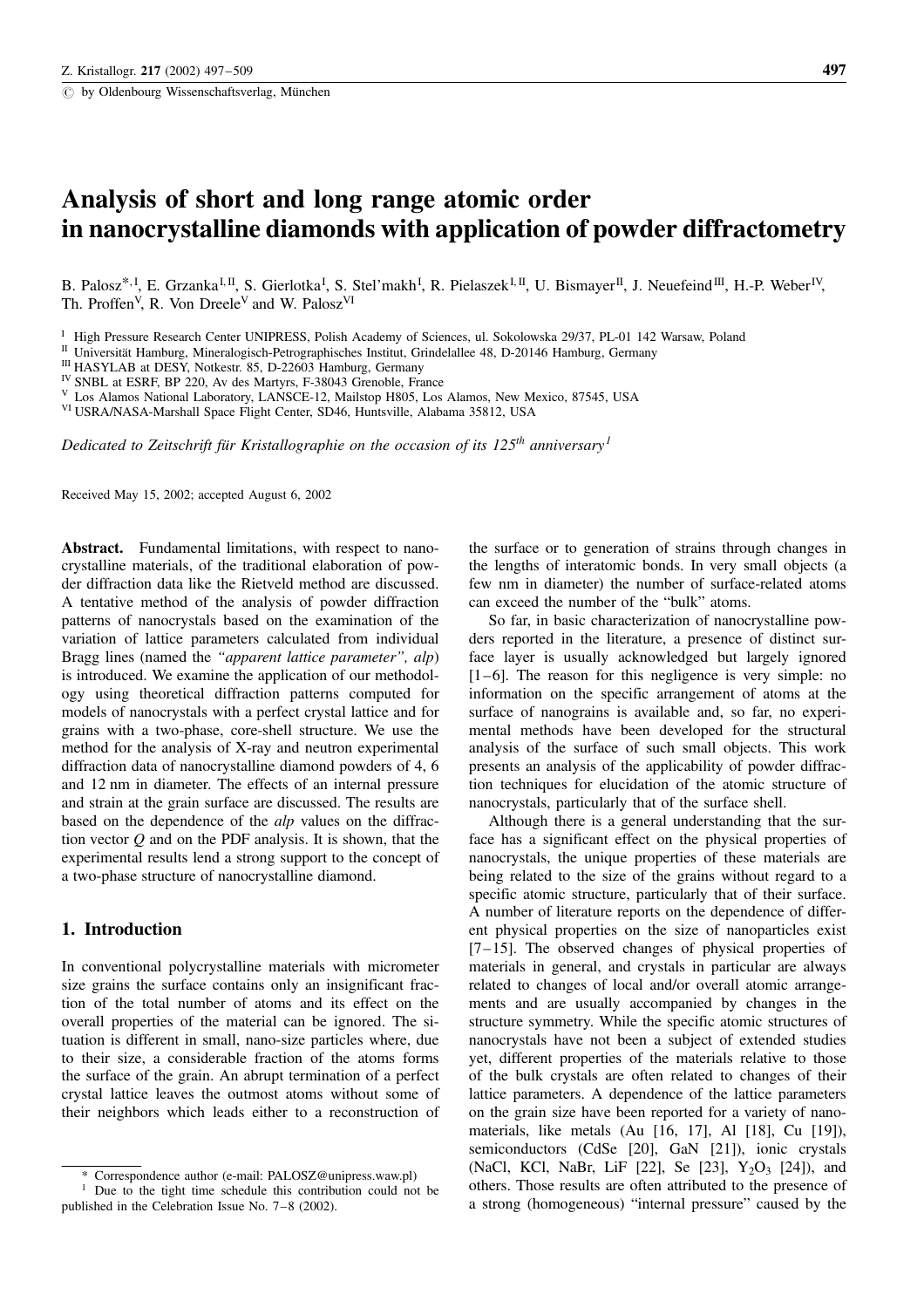$\odot$  by Oldenbourg Wissenschaftsverlag, München

# Analysis of short and long range atomic order in nanocrystalline diamonds with application of powder diffractometry

B. Palosz<sup>\*, I</sup>, E. Grzanka<sup>I, II</sup>, S. Gierlotka<sup>I</sup>, S. Stel'makh<sup>I</sup>, R. Pielaszek<sup>I, II</sup>, U. Bismayer<sup>II</sup>, J. Neuefeind<sup>III</sup>, H.-P. Weber<sup>IV</sup>, Th. Proffen<sup>V</sup>, R. Von Dreele<sup>V</sup> and W. Palosz<sup>VI</sup>

I High Pressure Research Center UNIPRESS, Polish Academy of Sciences, ul. Sokolowska 29/37, PL-01 142 Warsaw, Poland II Universität Hamburg, Mineralogisch-Petrographisches Institut, Grindelallee 48, D-20146 Hamburg, Germa

Dedicated to Zeitschrift für Kristallographie on the occasion of its  $125<sup>th</sup>$  anniversary<sup>1</sup>

Received May 15, 2002; accepted August 6, 2002

Abstract. Fundamental limitations, with respect to nanocrystalline materials, of the traditional elaboration of powder diffraction data like the Rietveld method are discussed. A tentative method of the analysis of powder diffraction patterns of nanocrystals based on the examination of the variation of lattice parameters calculated from individual Bragg lines (named the "apparent lattice parameter", alp) is introduced. We examine the application of our methodology using theoretical diffraction patterns computed for models of nanocrystals with a perfect crystal lattice and for grains with a two-phase, core-shell structure. We use the method for the analysis of X-ray and neutron experimental diffraction data of nanocrystalline diamond powders of 4, 6 and 12 nm in diameter. The effects of an internal pressure and strain at the grain surface are discussed. The results are based on the dependence of the *alp* values on the diffraction vector  $Q$  and on the PDF analysis. It is shown, that the experimental results lend a strong support to the concept of a two-phase structure of nanocrystalline diamond.

# 1. Introduction

In conventional polycrystalline materials with micrometer size grains the surface contains only an insignificant fraction of the total number of atoms and its effect on the overall properties of the material can be ignored. The situation is different in small, nano-size particles where, due to their size, a considerable fraction of the atoms forms the surface of the grain. An abrupt termination of a perfect crystal lattice leaves the outmost atoms without some of their neighbors which leads either to a reconstruction of the surface or to generation of strains through changes in the lengths of interatomic bonds. In very small objects (a few nm in diameter) the number of surface-related atoms can exceed the number of the "bulk" atoms.

So far, in basic characterization of nanocrystalline powders reported in the literature, a presence of distinct surface layer is usually acknowledged but largely ignored [1–6]. The reason for this negligence is very simple: no information on the specific arrangement of atoms at the surface of nanograins is available and, so far, no experimental methods have been developed for the structural analysis of the surface of such small objects. This work presents an analysis of the applicability of powder diffraction techniques for elucidation of the atomic structure of nanocrystals, particularly that of the surface shell.

Although there is a general understanding that the surface has a significant effect on the physical properties of nanocrystals, the unique properties of these materials are being related to the size of the grains without regard to a specific atomic structure, particularly that of their surface. A number of literature reports on the dependence of different physical properties on the size of nanoparticles exist [7–15]. The observed changes of physical properties of materials in general, and crystals in particular are always related to changes of local and/or overall atomic arrangements and are usually accompanied by changes in the structure symmetry. While the specific atomic structures of nanocrystals have not been a subject of extended studies yet, different properties of the materials relative to those of the bulk crystals are often related to changes of their lattice parameters. A dependence of the lattice parameters on the grain size have been reported for a variety of nanomaterials, like metals (Au [16, 17], Al [18], Cu [19]), semiconductors (CdSe [20], GaN [21]), ionic crystals (NaCl, KCl, NaBr, LiF  $[22]$ , Se  $[23]$ ,  $Y_2O_3$   $[24]$ ), and others. Those results are often attributed to the presence of a strong (homogeneous) "internal pressure" caused by the

Correspondence author (e-mail: PALOSZ@unipress.waw.pl)

<sup>&</sup>lt;sup>1</sup> Due to the tight time schedule this contribution could not be published in the Celebration Issue No. 7–8 (2002).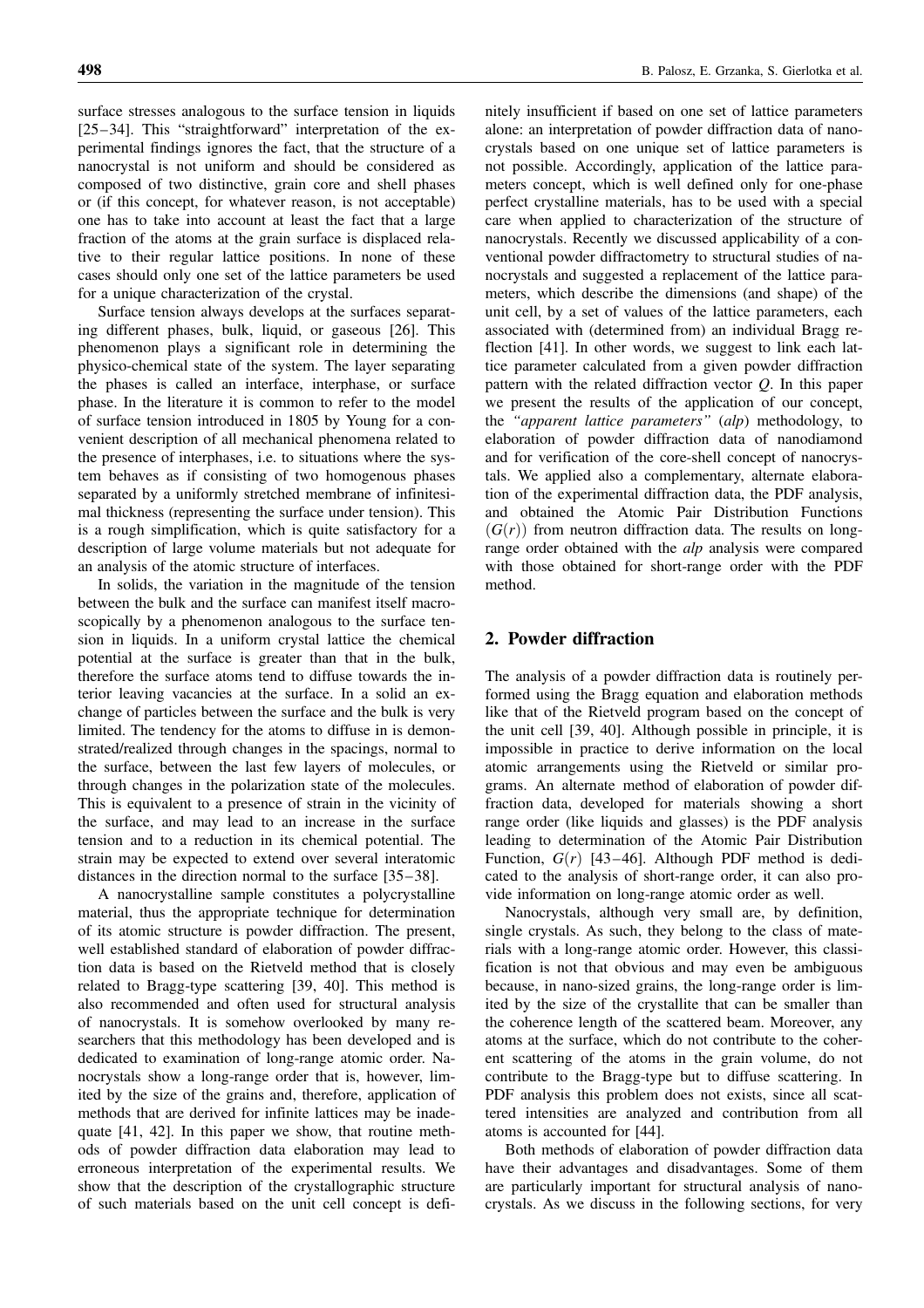surface stresses analogous to the surface tension in liquids [25–34]. This "straightforward" interpretation of the experimental findings ignores the fact, that the structure of a nanocrystal is not uniform and should be considered as composed of two distinctive, grain core and shell phases or (if this concept, for whatever reason, is not acceptable) one has to take into account at least the fact that a large fraction of the atoms at the grain surface is displaced relative to their regular lattice positions. In none of these cases should only one set of the lattice parameters be used for a unique characterization of the crystal.

Surface tension always develops at the surfaces separating different phases, bulk, liquid, or gaseous [26]. This phenomenon plays a significant role in determining the physico-chemical state of the system. The layer separating the phases is called an interface, interphase, or surface phase. In the literature it is common to refer to the model of surface tension introduced in 1805 by Young for a convenient description of all mechanical phenomena related to the presence of interphases, i.e. to situations where the system behaves as if consisting of two homogenous phases separated by a uniformly stretched membrane of infinitesimal thickness (representing the surface under tension). This is a rough simplification, which is quite satisfactory for a description of large volume materials but not adequate for an analysis of the atomic structure of interfaces.

In solids, the variation in the magnitude of the tension between the bulk and the surface can manifest itself macroscopically by a phenomenon analogous to the surface tension in liquids. In a uniform crystal lattice the chemical potential at the surface is greater than that in the bulk, therefore the surface atoms tend to diffuse towards the interior leaving vacancies at the surface. In a solid an exchange of particles between the surface and the bulk is very limited. The tendency for the atoms to diffuse in is demonstrated/realized through changes in the spacings, normal to the surface, between the last few layers of molecules, or through changes in the polarization state of the molecules. This is equivalent to a presence of strain in the vicinity of the surface, and may lead to an increase in the surface tension and to a reduction in its chemical potential. The strain may be expected to extend over several interatomic distances in the direction normal to the surface [35–38].

A nanocrystalline sample constitutes a polycrystalline material, thus the appropriate technique for determination of its atomic structure is powder diffraction. The present, well established standard of elaboration of powder diffraction data is based on the Rietveld method that is closely related to Bragg-type scattering [39, 40]. This method is also recommended and often used for structural analysis of nanocrystals. It is somehow overlooked by many researchers that this methodology has been developed and is dedicated to examination of long-range atomic order. Nanocrystals show a long-range order that is, however, limited by the size of the grains and, therefore, application of methods that are derived for infinite lattices may be inadequate [41, 42]. In this paper we show, that routine methods of powder diffraction data elaboration may lead to erroneous interpretation of the experimental results. We show that the description of the crystallographic structure of such materials based on the unit cell concept is defi-

nitely insufficient if based on one set of lattice parameters alone: an interpretation of powder diffraction data of nanocrystals based on one unique set of lattice parameters is not possible. Accordingly, application of the lattice parameters concept, which is well defined only for one-phase perfect crystalline materials, has to be used with a special care when applied to characterization of the structure of nanocrystals. Recently we discussed applicability of a conventional powder diffractometry to structural studies of nanocrystals and suggested a replacement of the lattice parameters, which describe the dimensions (and shape) of the unit cell, by a set of values of the lattice parameters, each associated with (determined from) an individual Bragg reflection [41]. In other words, we suggest to link each lattice parameter calculated from a given powder diffraction pattern with the related diffraction vector  $Q$ . In this paper we present the results of the application of our concept, the "apparent lattice parameters" (alp) methodology, to elaboration of powder diffraction data of nanodiamond and for verification of the core-shell concept of nanocrystals. We applied also a complementary, alternate elaboration of the experimental diffraction data, the PDF analysis, and obtained the Atomic Pair Distribution Functions  $(G(r))$  from neutron diffraction data. The results on longrange order obtained with the *alp* analysis were compared with those obtained for short-range order with the PDF method.

# 2. Powder diffraction

The analysis of a powder diffraction data is routinely performed using the Bragg equation and elaboration methods like that of the Rietveld program based on the concept of the unit cell [39, 40]. Although possible in principle, it is impossible in practice to derive information on the local atomic arrangements using the Rietveld or similar programs. An alternate method of elaboration of powder diffraction data, developed for materials showing a short range order (like liquids and glasses) is the PDF analysis leading to determination of the Atomic Pair Distribution Function,  $G(r)$  [43–46]. Although PDF method is dedicated to the analysis of short-range order, it can also provide information on long-range atomic order as well.

Nanocrystals, although very small are, by definition, single crystals. As such, they belong to the class of materials with a long-range atomic order. However, this classification is not that obvious and may even be ambiguous because, in nano-sized grains, the long-range order is limited by the size of the crystallite that can be smaller than the coherence length of the scattered beam. Moreover, any atoms at the surface, which do not contribute to the coherent scattering of the atoms in the grain volume, do not contribute to the Bragg-type but to diffuse scattering. In PDF analysis this problem does not exists, since all scattered intensities are analyzed and contribution from all atoms is accounted for [44].

Both methods of elaboration of powder diffraction data have their advantages and disadvantages. Some of them are particularly important for structural analysis of nanocrystals. As we discuss in the following sections, for very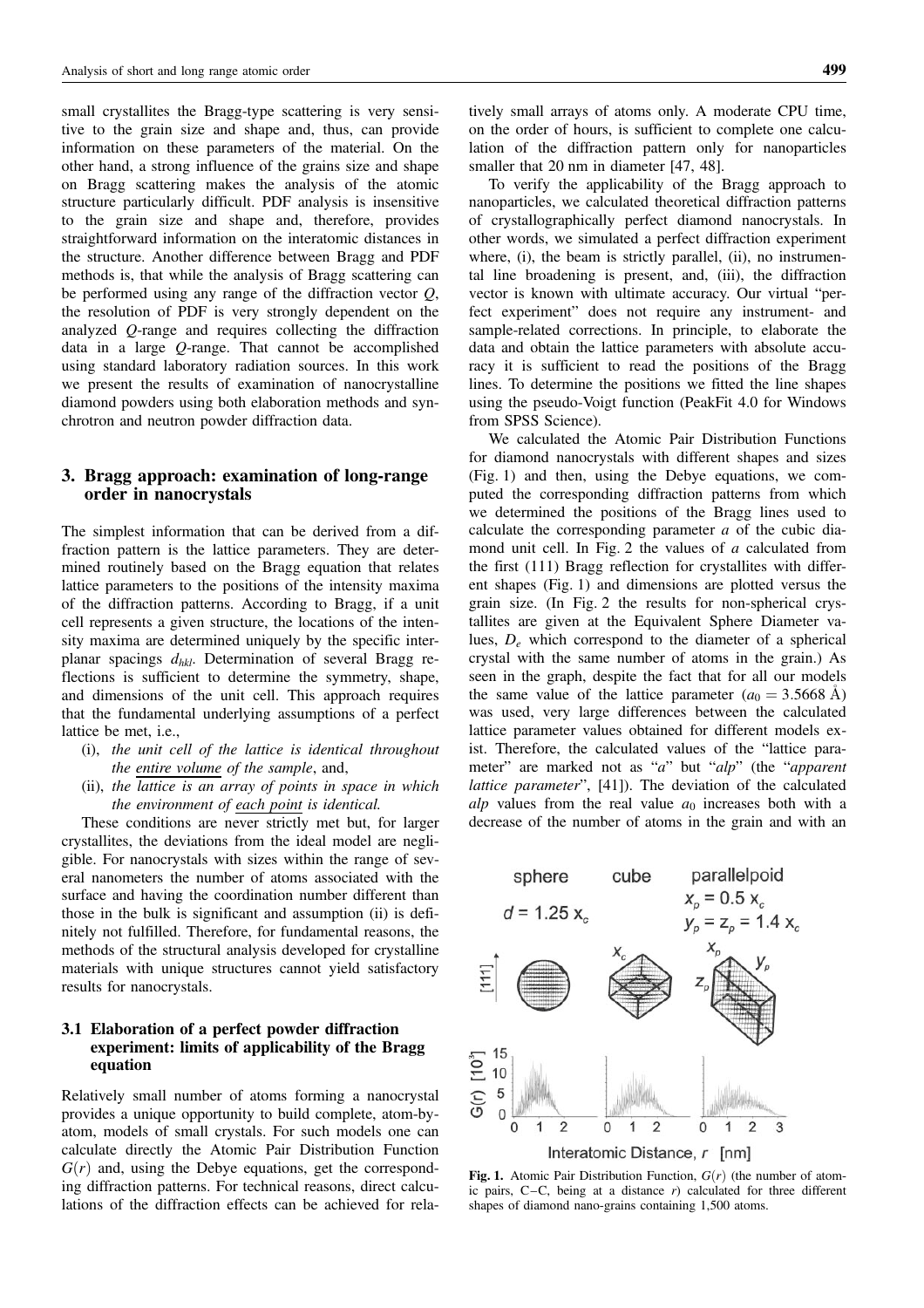small crystallites the Bragg-type scattering is very sensitive to the grain size and shape and, thus, can provide information on these parameters of the material. On the other hand, a strong influence of the grains size and shape on Bragg scattering makes the analysis of the atomic structure particularly difficult. PDF analysis is insensitive to the grain size and shape and, therefore, provides straightforward information on the interatomic distances in the structure. Another difference between Bragg and PDF methods is, that while the analysis of Bragg scattering can be performed using any range of the diffraction vector Q, the resolution of PDF is very strongly dependent on the analyzed Q-range and requires collecting the diffraction data in a large Q-range. That cannot be accomplished using standard laboratory radiation sources. In this work we present the results of examination of nanocrystalline diamond powders using both elaboration methods and synchrotron and neutron powder diffraction data.

# 3. Bragg approach: examination of long-range order in nanocrystals

The simplest information that can be derived from a diffraction pattern is the lattice parameters. They are determined routinely based on the Bragg equation that relates lattice parameters to the positions of the intensity maxima of the diffraction patterns. According to Bragg, if a unit cell represents a given structure, the locations of the intensity maxima are determined uniquely by the specific interplanar spacings  $d_{hkl}$ . Determination of several Bragg reflections is sufficient to determine the symmetry, shape, and dimensions of the unit cell. This approach requires that the fundamental underlying assumptions of a perfect lattice be met, i.e.,

- (i), the unit cell of the lattice is identical throughout the entire volume of the sample, and,
- (ii), the lattice is an array of points in space in which the environment of each point is identical.

These conditions are never strictly met but, for larger crystallites, the deviations from the ideal model are negligible. For nanocrystals with sizes within the range of several nanometers the number of atoms associated with the surface and having the coordination number different than those in the bulk is significant and assumption (ii) is definitely not fulfilled. Therefore, for fundamental reasons, the methods of the structural analysis developed for crystalline materials with unique structures cannot yield satisfactory results for nanocrystals.

# 3.1 Elaboration of a perfect powder diffraction experiment: limits of applicability of the Bragg equation

Relatively small number of atoms forming a nanocrystal provides a unique opportunity to build complete, atom-byatom, models of small crystals. For such models one can calculate directly the Atomic Pair Distribution Function  $G(r)$  and, using the Debye equations, get the corresponding diffraction patterns. For technical reasons, direct calculations of the diffraction effects can be achieved for relatively small arrays of atoms only. A moderate CPU time, on the order of hours, is sufficient to complete one calculation of the diffraction pattern only for nanoparticles smaller that 20 nm in diameter [47, 48].

To verify the applicability of the Bragg approach to nanoparticles, we calculated theoretical diffraction patterns of crystallographically perfect diamond nanocrystals. In other words, we simulated a perfect diffraction experiment where, (i), the beam is strictly parallel, (ii), no instrumental line broadening is present, and, (iii), the diffraction vector is known with ultimate accuracy. Our virtual "perfect experiment" does not require any instrument- and sample-related corrections. In principle, to elaborate the data and obtain the lattice parameters with absolute accuracy it is sufficient to read the positions of the Bragg lines. To determine the positions we fitted the line shapes using the pseudo-Voigt function (PeakFit 4.0 for Windows from SPSS Science).

We calculated the Atomic Pair Distribution Functions for diamond nanocrystals with different shapes and sizes (Fig. 1) and then, using the Debye equations, we computed the corresponding diffraction patterns from which we determined the positions of the Bragg lines used to calculate the corresponding parameter a of the cubic diamond unit cell. In Fig. 2 the values of a calculated from the first (111) Bragg reflection for crystallites with different shapes (Fig. 1) and dimensions are plotted versus the grain size. (In Fig. 2 the results for non-spherical crystallites are given at the Equivalent Sphere Diameter values,  $D_e$  which correspond to the diameter of a spherical crystal with the same number of atoms in the grain.) As seen in the graph, despite the fact that for all our models the same value of the lattice parameter  $(a_0 = 3.5668 \text{ Å})$ was used, very large differences between the calculated lattice parameter values obtained for different models exist. Therefore, the calculated values of the "lattice parameter" are marked not as "a" but "alp" (the "apparent lattice parameter", [41]). The deviation of the calculated alp values from the real value  $a_0$  increases both with a decrease of the number of atoms in the grain and with an



Fig. 1. Atomic Pair Distribution Function,  $G(r)$  (the number of atomic pairs,  $C-C$ , being at a distance r) calculated for three different shapes of diamond nano-grains containing 1,500 atoms.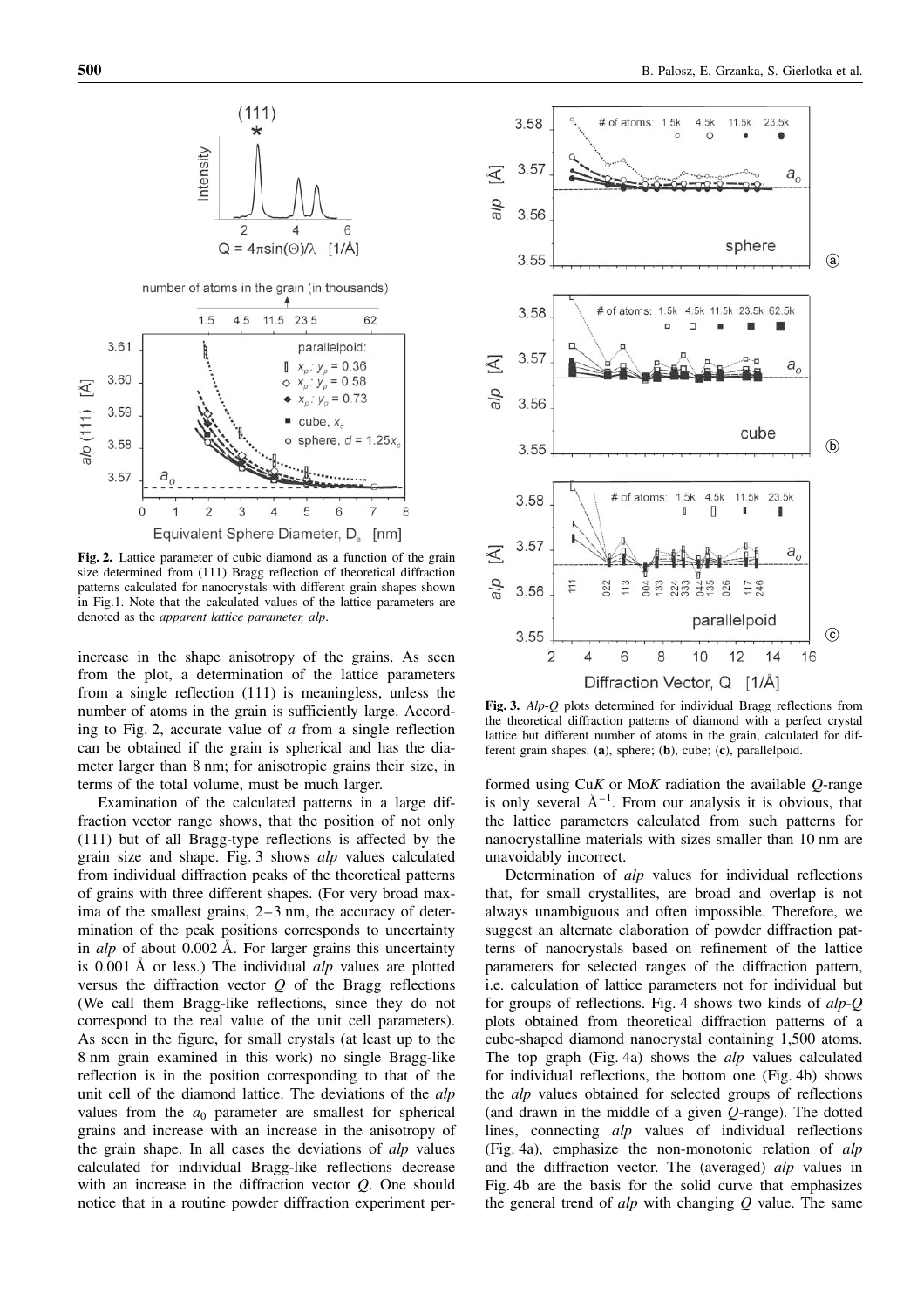

Fig. 2. Lattice parameter of cubic diamond as a function of the grain size determined from (111) Bragg reflection of theoretical diffraction patterns calculated for nanocrystals with different grain shapes shown in Fig.1. Note that the calculated values of the lattice parameters are denoted as the apparent lattice parameter, alp.

increase in the shape anisotropy of the grains. As seen from the plot, a determination of the lattice parameters from a single reflection (111) is meaningless, unless the number of atoms in the grain is sufficiently large. According to Fig. 2, accurate value of  $a$  from a single reflection can be obtained if the grain is spherical and has the diameter larger than 8 nm; for anisotropic grains their size, in terms of the total volume, must be much larger.

Examination of the calculated patterns in a large diffraction vector range shows, that the position of not only (111) but of all Bragg-type reflections is affected by the grain size and shape. Fig. 3 shows alp values calculated from individual diffraction peaks of the theoretical patterns of grains with three different shapes. (For very broad maxima of the smallest grains, 2–3 nm, the accuracy of determination of the peak positions corresponds to uncertainty in *alp* of about  $0.002$  Å. For larger grains this uncertainty is 0.001 Å or less.) The individual *alp* values are plotted versus the diffraction vector  $Q$  of the Bragg reflections (We call them Bragg-like reflections, since they do not correspond to the real value of the unit cell parameters). As seen in the figure, for small crystals (at least up to the 8 nm grain examined in this work) no single Bragg-like reflection is in the position corresponding to that of the unit cell of the diamond lattice. The deviations of the *alp* values from the  $a_0$  parameter are smallest for spherical grains and increase with an increase in the anisotropy of the grain shape. In all cases the deviations of alp values calculated for individual Bragg-like reflections decrease with an increase in the diffraction vector O. One should notice that in a routine powder diffraction experiment per-



Fig. 3. Alp-Q plots determined for individual Bragg reflections from the theoretical diffraction patterns of diamond with a perfect crystal lattice but different number of atoms in the grain, calculated for different grain shapes. (a), sphere; (b), cube; (c), parallelpoid.

formed using  $CuK$  or Mo $K$  radiation the available  $Q$ -range is only several  $A^{-1}$ . From our analysis it is obvious, that the lattice parameters calculated from such patterns for nanocrystalline materials with sizes smaller than 10 nm are unavoidably incorrect.

Determination of alp values for individual reflections that, for small crystallites, are broad and overlap is not always unambiguous and often impossible. Therefore, we suggest an alternate elaboration of powder diffraction patterns of nanocrystals based on refinement of the lattice parameters for selected ranges of the diffraction pattern, i.e. calculation of lattice parameters not for individual but for groups of reflections. Fig. 4 shows two kinds of alp-Q plots obtained from theoretical diffraction patterns of a cube-shaped diamond nanocrystal containing 1,500 atoms. The top graph (Fig. 4a) shows the *alp* values calculated for individual reflections, the bottom one (Fig. 4b) shows the *alp* values obtained for selected groups of reflections (and drawn in the middle of a given  $Q$ -range). The dotted lines, connecting alp values of individual reflections (Fig. 4a), emphasize the non-monotonic relation of alp and the diffraction vector. The (averaged) alp values in Fig. 4b are the basis for the solid curve that emphasizes the general trend of  $\alpha l p$  with changing  $Q$  value. The same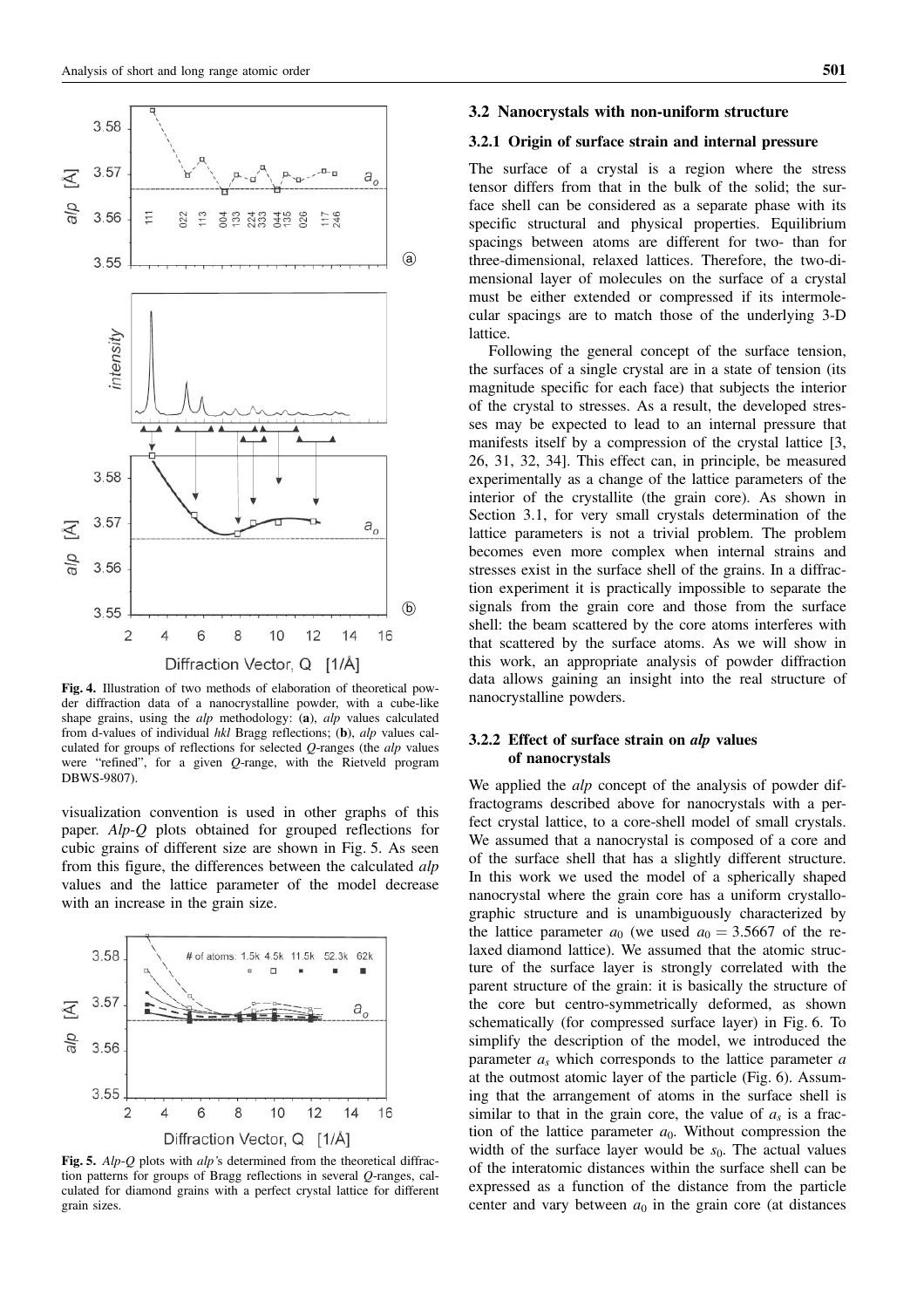

Fig. 4. Illustration of two methods of elaboration of theoretical powder diffraction data of a nanocrystalline powder, with a cube-like shape grains, using the  $alp$  methodology: (a),  $alp$  values calculated from d-values of individual hkl Bragg reflections; (b), alp values calculated for groups of reflections for selected  $Q$ -ranges (the  $alp$  values were "refined", for a given Q-range, with the Rietveld program DBWS-9807).

visualization convention is used in other graphs of this paper. Alp-Q plots obtained for grouped reflections for cubic grains of different size are shown in Fig. 5. As seen from this figure, the differences between the calculated alp values and the lattice parameter of the model decrease with an increase in the grain size.



Fig. 5.  $Alp-O$  plots with *alp*'s determined from the theoretical diffraction patterns for groups of Bragg reflections in several Q-ranges, calculated for diamond grains with a perfect crystal lattice for different grain sizes.

## 3.2 Nanocrystals with non-uniform structure

# 3.2.1 Origin of surface strain and internal pressure

The surface of a crystal is a region where the stress tensor differs from that in the bulk of the solid; the surface shell can be considered as a separate phase with its specific structural and physical properties. Equilibrium spacings between atoms are different for two- than for three-dimensional, relaxed lattices. Therefore, the two-dimensional layer of molecules on the surface of a crystal must be either extended or compressed if its intermolecular spacings are to match those of the underlying 3-D lattice.

Following the general concept of the surface tension, the surfaces of a single crystal are in a state of tension (its magnitude specific for each face) that subjects the interior of the crystal to stresses. As a result, the developed stresses may be expected to lead to an internal pressure that manifests itself by a compression of the crystal lattice [3, 26, 31, 32, 34]. This effect can, in principle, be measured experimentally as a change of the lattice parameters of the interior of the crystallite (the grain core). As shown in Section 3.1, for very small crystals determination of the lattice parameters is not a trivial problem. The problem becomes even more complex when internal strains and stresses exist in the surface shell of the grains. In a diffraction experiment it is practically impossible to separate the signals from the grain core and those from the surface shell: the beam scattered by the core atoms interferes with that scattered by the surface atoms. As we will show in this work, an appropriate analysis of powder diffraction data allows gaining an insight into the real structure of nanocrystalline powders.

## 3.2.2 Effect of surface strain on alp values of nanocrystals

We applied the *alp* concept of the analysis of powder diffractograms described above for nanocrystals with a perfect crystal lattice, to a core-shell model of small crystals. We assumed that a nanocrystal is composed of a core and of the surface shell that has a slightly different structure. In this work we used the model of a spherically shaped nanocrystal where the grain core has a uniform crystallographic structure and is unambiguously characterized by the lattice parameter  $a_0$  (we used  $a_0 = 3.5667$  of the relaxed diamond lattice). We assumed that the atomic structure of the surface layer is strongly correlated with the parent structure of the grain: it is basically the structure of the core but centro-symmetrically deformed, as shown schematically (for compressed surface layer) in Fig. 6. To simplify the description of the model, we introduced the parameter  $a_s$  which corresponds to the lattice parameter  $a$ at the outmost atomic layer of the particle (Fig. 6). Assuming that the arrangement of atoms in the surface shell is similar to that in the grain core, the value of  $a<sub>s</sub>$  is a fraction of the lattice parameter  $a_0$ . Without compression the width of the surface layer would be  $s_0$ . The actual values of the interatomic distances within the surface shell can be expressed as a function of the distance from the particle center and vary between  $a_0$  in the grain core (at distances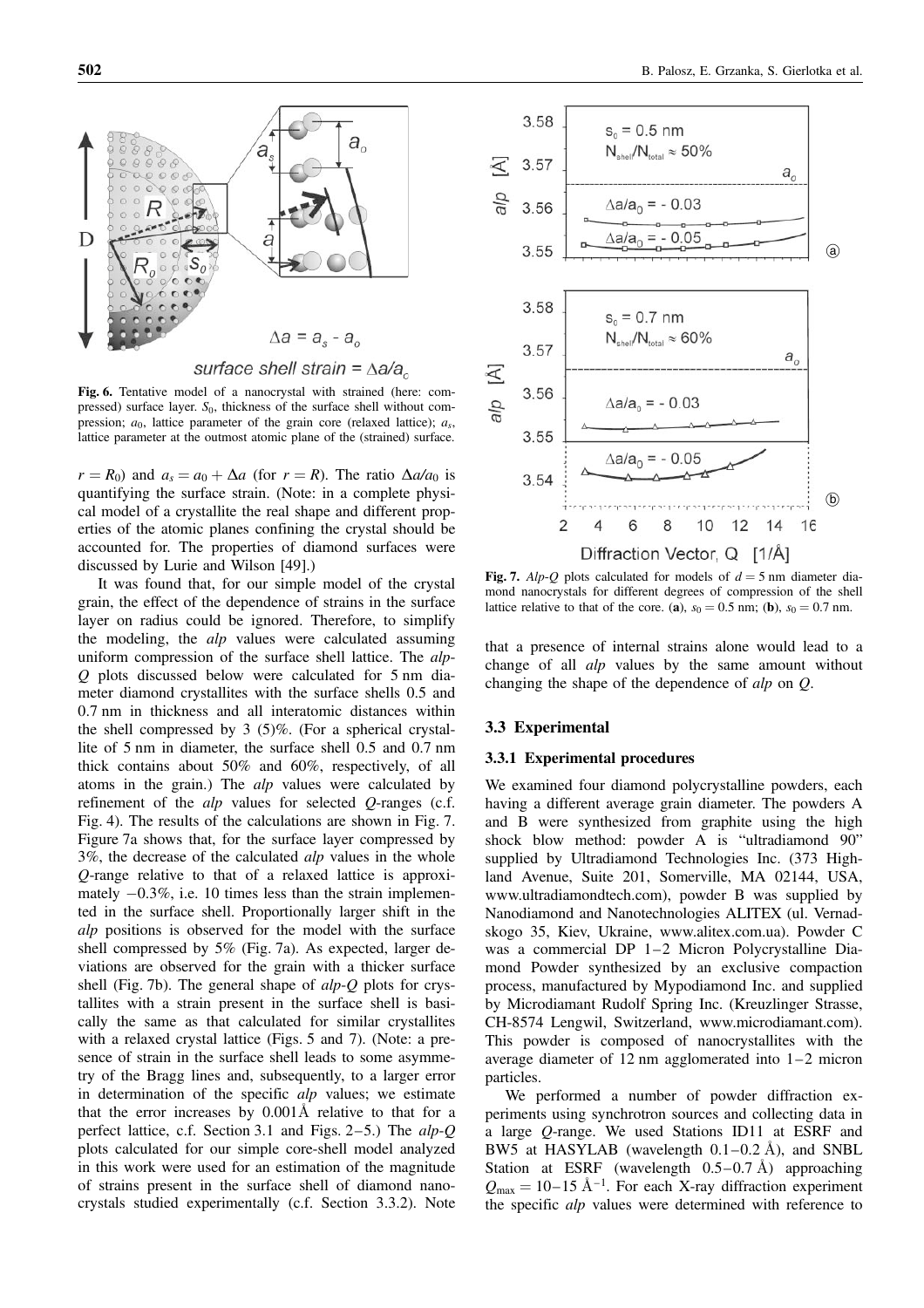

surface shell strain =  $\Delta a/a$ 

Fig. 6. Tentative model of a nanocrystal with strained (here: compressed) surface layer.  $S_0$ , thickness of the surface shell without compression;  $a_0$ , lattice parameter of the grain core (relaxed lattice);  $a_s$ , lattice parameter at the outmost atomic plane of the (strained) surface.

 $r = R_0$ ) and  $a_s = a_0 + \Delta a$  (for  $r = R$ ). The ratio  $\Delta a/a_0$  is quantifying the surface strain. (Note: in a complete physical model of a crystallite the real shape and different properties of the atomic planes confining the crystal should be accounted for. The properties of diamond surfaces were discussed by Lurie and Wilson [49].)

It was found that, for our simple model of the crystal grain, the effect of the dependence of strains in the surface layer on radius could be ignored. Therefore, to simplify the modeling, the *alp* values were calculated assuming uniform compression of the surface shell lattice. The alp-Q plots discussed below were calculated for 5 nm diameter diamond crystallites with the surface shells 0.5 and 0.7 nm in thickness and all interatomic distances within the shell compressed by 3 (5)%. (For a spherical crystallite of 5 nm in diameter, the surface shell 0.5 and 0.7 nm thick contains about 50% and 60%, respectively, of all atoms in the grain.) The alp values were calculated by refinement of the  $alp$  values for selected  $Q$ -ranges (c.f. Fig. 4). The results of the calculations are shown in Fig. 7. Figure 7a shows that, for the surface layer compressed by 3%, the decrease of the calculated alp values in the whole Q-range relative to that of a relaxed lattice is approximately  $-0.3\%$ , i.e. 10 times less than the strain implemented in the surface shell. Proportionally larger shift in the alp positions is observed for the model with the surface shell compressed by 5% (Fig. 7a). As expected, larger deviations are observed for the grain with a thicker surface shell (Fig. 7b). The general shape of alp-Q plots for crystallites with a strain present in the surface shell is basically the same as that calculated for similar crystallites with a relaxed crystal lattice (Figs. 5 and 7). (Note: a presence of strain in the surface shell leads to some asymmetry of the Bragg lines and, subsequently, to a larger error in determination of the specific *alp* values; we estimate that the error increases by  $0.001\text{\AA}$  relative to that for a perfect lattice, c.f. Section 3.1 and Figs. 2–5.) The alp-Q plots calculated for our simple core-shell model analyzed in this work were used for an estimation of the magnitude of strains present in the surface shell of diamond nanocrystals studied experimentally (c.f. Section 3.3.2). Note



Fig. 7. Alp-O plots calculated for models of  $d = 5$  nm diameter diamond nanocrystals for different degrees of compression of the shell lattice relative to that of the core. (a),  $s_0 = 0.5$  nm; (b),  $s_0 = 0.7$  nm.

that a presence of internal strains alone would lead to a change of all alp values by the same amount without changing the shape of the dependence of alp on Q.

#### 3.3 Experimental

#### 3.3.1 Experimental procedures

We examined four diamond polycrystalline powders, each having a different average grain diameter. The powders A and B were synthesized from graphite using the high shock blow method: powder A is "ultradiamond 90" supplied by Ultradiamond Technologies Inc. (373 Highland Avenue, Suite 201, Somerville, MA 02144, USA, www.ultradiamondtech.com), powder B was supplied by Nanodiamond and Nanotechnologies ALITEX (ul. Vernadskogo 35, Kiev, Ukraine, www.alitex.com.ua). Powder C was a commercial DP 1–2 Micron Polycrystalline Diamond Powder synthesized by an exclusive compaction process, manufactured by Mypodiamond Inc. and supplied by Microdiamant Rudolf Spring Inc. (Kreuzlinger Strasse, CH-8574 Lengwil, Switzerland, www.microdiamant.com). This powder is composed of nanocrystallites with the average diameter of 12 nm agglomerated into 1–2 micron particles.

We performed a number of powder diffraction experiments using synchrotron sources and collecting data in a large Q-range. We used Stations ID11 at ESRF and BW5 at HASYLAB (wavelength  $0.1-0.2$  Å), and SNBL Station at ESRF (wavelength  $0.5-0.7 \text{ Å}$ ) approaching  $Q_{\text{max}} = 10-15 \text{ Å}^{-1}$ . For each X-ray diffraction experiment the specific *alp* values were determined with reference to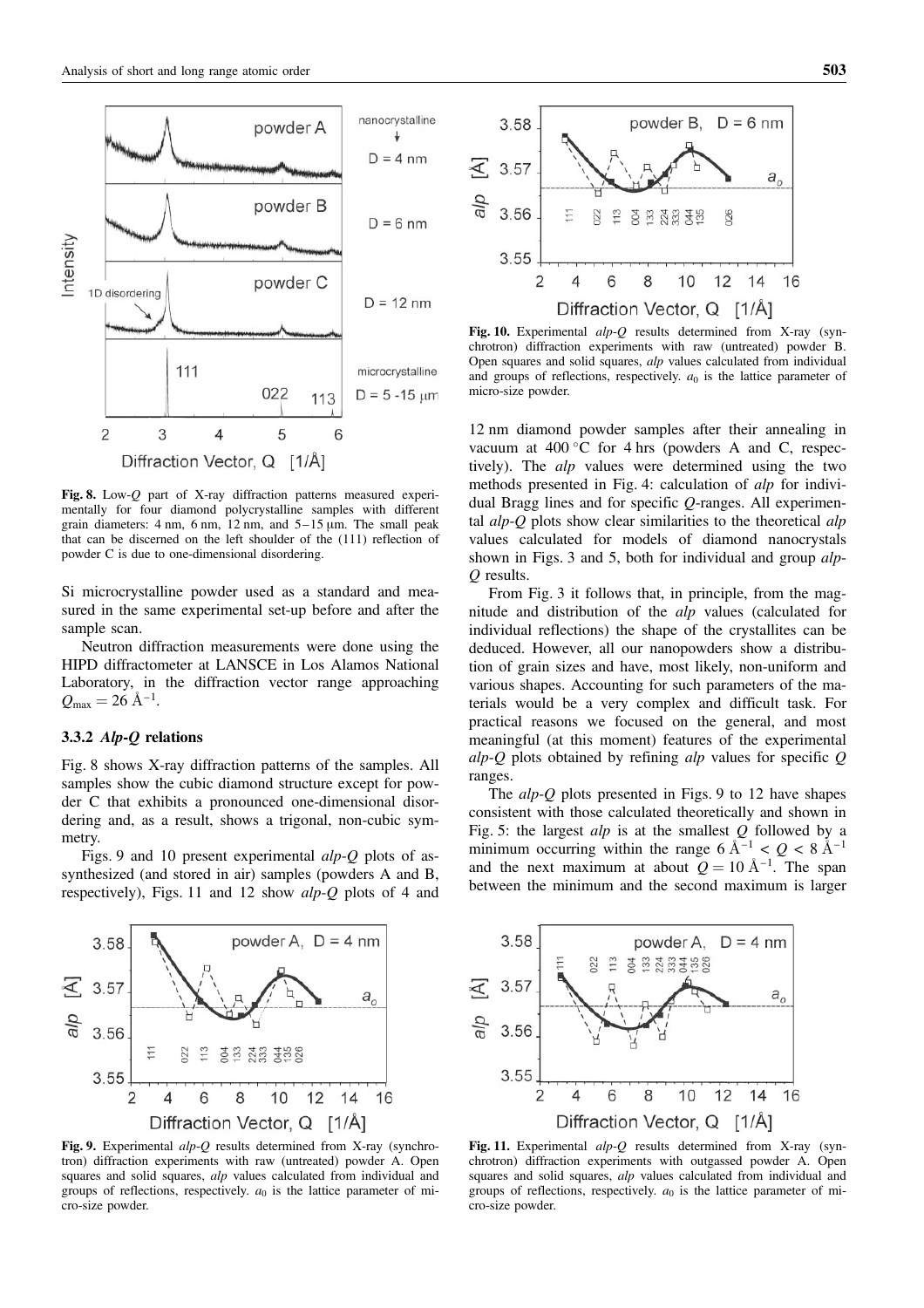

Fig. 8. Low-Q part of X-ray diffraction patterns measured experimentally for four diamond polycrystalline samples with different grain diameters:  $4 \text{ nm}$ ,  $6 \text{ nm}$ ,  $12 \text{ nm}$ , and  $5-15 \text{ µm}$ . The small peak that can be discerned on the left shoulder of the (111) reflection of powder C is due to one-dimensional disordering.

Si microcrystalline powder used as a standard and measured in the same experimental set-up before and after the sample scan.

Neutron diffraction measurements were done using the HIPD diffractometer at LANSCE in Los Alamos National Laboratory, in the diffraction vector range approaching  $Q_{\text{max}} = 26 \text{ Å}^{-1}$ .

# 3.3.2 Alp-Q relations

Fig. 8 shows X-ray diffraction patterns of the samples. All samples show the cubic diamond structure except for powder C that exhibits a pronounced one-dimensional disordering and, as a result, shows a trigonal, non-cubic symmetry.

Figs. 9 and 10 present experimental alp-Q plots of assynthesized (and stored in air) samples (powders A and B, respectively), Figs. 11 and 12 show  $alp-Q$  plots of 4 and



Fig. 9. Experimental alp-Q results determined from X-ray (synchrotron) diffraction experiments with raw (untreated) powder A. Open squares and solid squares, alp values calculated from individual and groups of reflections, respectively.  $a_0$  is the lattice parameter of micro-size powder.



Fig. 10. Experimental alp-Q results determined from X-ray (synchrotron) diffraction experiments with raw (untreated) powder B. Open squares and solid squares, alp values calculated from individual and groups of reflections, respectively.  $a_0$  is the lattice parameter of micro-size powder.

12 nm diamond powder samples after their annealing in vacuum at  $400\degree$ C for 4 hrs (powders A and C, respectively). The *alp* values were determined using the two methods presented in Fig. 4: calculation of alp for individual Bragg lines and for specific Q-ranges. All experimental *alp-Q* plots show clear similarities to the theoretical *alp* values calculated for models of diamond nanocrystals shown in Figs. 3 and 5, both for individual and group *alp*-O results.

From Fig. 3 it follows that, in principle, from the magnitude and distribution of the alp values (calculated for individual reflections) the shape of the crystallites can be deduced. However, all our nanopowders show a distribution of grain sizes and have, most likely, non-uniform and various shapes. Accounting for such parameters of the materials would be a very complex and difficult task. For practical reasons we focused on the general, and most meaningful (at this moment) features of the experimental  $alp-O$  plots obtained by refining  $alp$  values for specific  $O$ ranges.

The  $alp-O$  plots presented in Figs. 9 to 12 have shapes consistent with those calculated theoretically and shown in Fig. 5: the largest  $alp$  is at the smallest  $Q$  followed by a minimum occurring within the range  $6 \text{ Å}^{-1} < Q < 8 \text{ Å}^{-1}$ and the next maximum at about  $Q = 10 \text{ Å}^{-1}$ . The span between the minimum and the second maximum is larger



Fig. 11. Experimental alp-Q results determined from X-ray (synchrotron) diffraction experiments with outgassed powder A. Open squares and solid squares, *alp* values calculated from individual and groups of reflections, respectively.  $a_0$  is the lattice parameter of micro-size powder.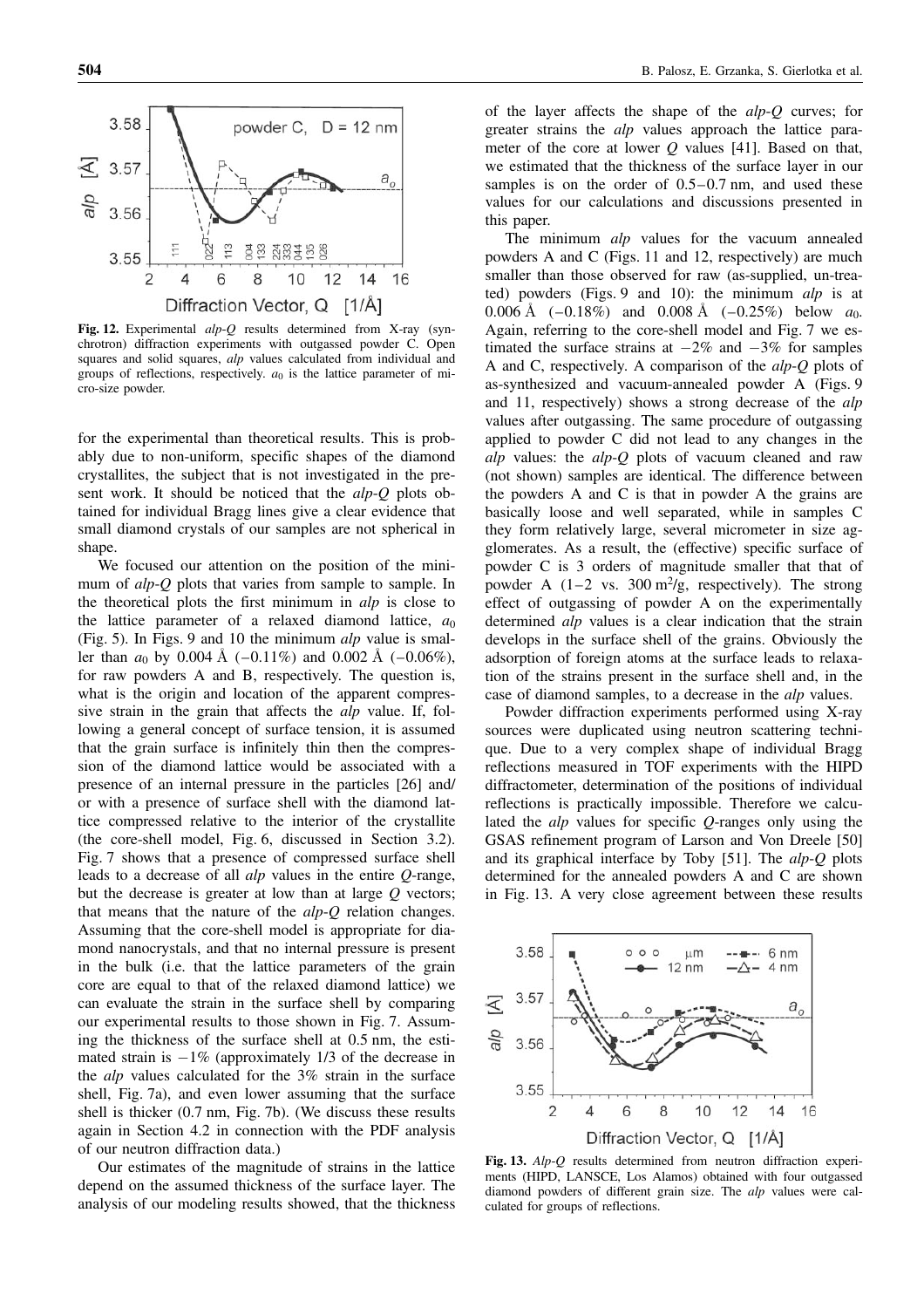

Fig. 12. Experimental alp-Q results determined from X-ray (synchrotron) diffraction experiments with outgassed powder C. Open squares and solid squares, alp values calculated from individual and groups of reflections, respectively.  $a_0$  is the lattice parameter of micro-size powder.

for the experimental than theoretical results. This is probably due to non-uniform, specific shapes of the diamond crystallites, the subject that is not investigated in the present work. It should be noticed that the alp-Q plots obtained for individual Bragg lines give a clear evidence that small diamond crystals of our samples are not spherical in shape.

We focused our attention on the position of the minimum of *alp-O* plots that varies from sample to sample. In the theoretical plots the first minimum in alp is close to the lattice parameter of a relaxed diamond lattice,  $a_0$ (Fig. 5). In Figs. 9 and 10 the minimum alp value is smaller than  $a_0$  by 0.004 Å (-0.11%) and 0.002 Å (-0.06%), for raw powders A and B, respectively. The question is, what is the origin and location of the apparent compressive strain in the grain that affects the alp value. If, following a general concept of surface tension, it is assumed that the grain surface is infinitely thin then the compression of the diamond lattice would be associated with a presence of an internal pressure in the particles [26] and/ or with a presence of surface shell with the diamond lattice compressed relative to the interior of the crystallite (the core-shell model, Fig. 6, discussed in Section 3.2). Fig. 7 shows that a presence of compressed surface shell leads to a decrease of all  $alp$  values in the entire  $Q$ -range, but the decrease is greater at low than at large  $O$  vectors; that means that the nature of the alp-Q relation changes. Assuming that the core-shell model is appropriate for diamond nanocrystals, and that no internal pressure is present in the bulk (i.e. that the lattice parameters of the grain core are equal to that of the relaxed diamond lattice) we can evaluate the strain in the surface shell by comparing our experimental results to those shown in Fig. 7. Assuming the thickness of the surface shell at 0.5 nm, the estimated strain is  $-1\%$  (approximately 1/3 of the decrease in the alp values calculated for the 3% strain in the surface shell, Fig. 7a), and even lower assuming that the surface shell is thicker (0.7 nm, Fig. 7b). (We discuss these results again in Section 4.2 in connection with the PDF analysis of our neutron diffraction data.)

Our estimates of the magnitude of strains in the lattice depend on the assumed thickness of the surface layer. The analysis of our modeling results showed, that the thickness of the layer affects the shape of the alp-Q curves; for greater strains the *alp* values approach the lattice parameter of the core at lower Q values [41]. Based on that, we estimated that the thickness of the surface layer in our samples is on the order of  $0.5-0.7$  nm, and used these values for our calculations and discussions presented in this paper.

The minimum *alp* values for the vacuum annealed powders A and C (Figs. 11 and 12, respectively) are much smaller than those observed for raw (as-supplied, un-treated) powders (Figs. 9 and 10): the minimum  $alp$  is at 0.006 Å  $(-0.18\%)$  and 0.008 Å  $(-0.25\%)$  below  $a_0$ . Again, referring to the core-shell model and Fig. 7 we estimated the surface strains at  $-2\%$  and  $-3\%$  for samples A and C, respectively. A comparison of the alp-Q plots of as-synthesized and vacuum-annealed powder A (Figs. 9 and 11, respectively) shows a strong decrease of the *alp* values after outgassing. The same procedure of outgassing applied to powder C did not lead to any changes in the alp values: the  $alp-Q$  plots of vacuum cleaned and raw (not shown) samples are identical. The difference between the powders A and C is that in powder A the grains are basically loose and well separated, while in samples C they form relatively large, several micrometer in size agglomerates. As a result, the (effective) specific surface of powder C is 3 orders of magnitude smaller that that of powder A  $(1-2 \text{ vs. } 300 \text{ m}^2/\text{g}$ , respectively). The strong effect of outgassing of powder A on the experimentally determined *alp* values is a clear indication that the strain develops in the surface shell of the grains. Obviously the adsorption of foreign atoms at the surface leads to relaxation of the strains present in the surface shell and, in the case of diamond samples, to a decrease in the alp values.

Powder diffraction experiments performed using X-ray sources were duplicated using neutron scattering technique. Due to a very complex shape of individual Bragg reflections measured in TOF experiments with the HIPD diffractometer, determination of the positions of individual reflections is practically impossible. Therefore we calculated the alp values for specific Q-ranges only using the GSAS refinement program of Larson and Von Dreele [50] and its graphical interface by Toby [51]. The alp-Q plots determined for the annealed powders A and C are shown in Fig. 13. A very close agreement between these results



Fig. 13. Alp-Q results determined from neutron diffraction experiments (HIPD, LANSCE, Los Alamos) obtained with four outgassed diamond powders of different grain size. The alp values were calculated for groups of reflections.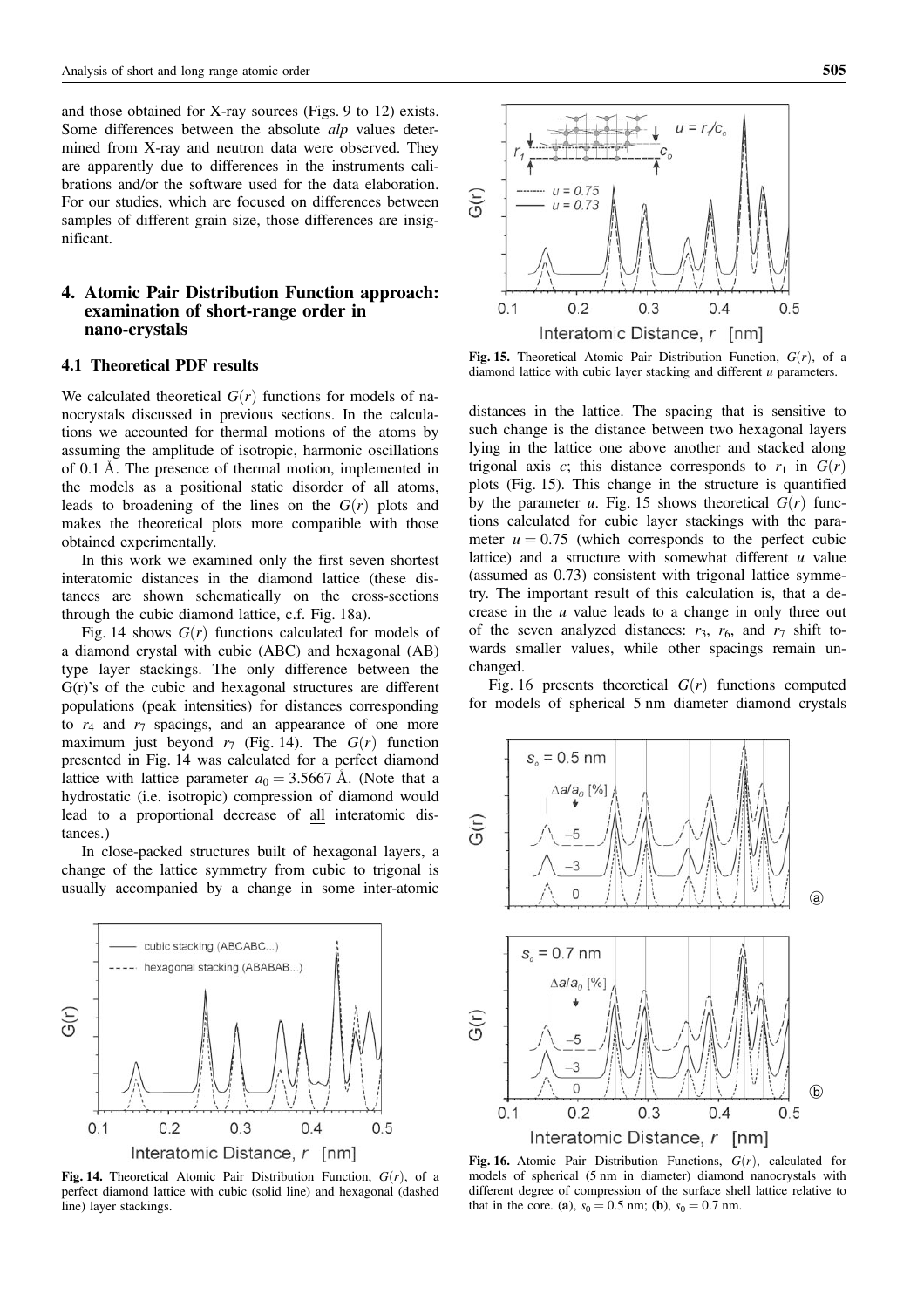and those obtained for X-ray sources (Figs. 9 to 12) exists. Some differences between the absolute *alp* values determined from X-ray and neutron data were observed. They are apparently due to differences in the instruments calibrations and/or the software used for the data elaboration. For our studies, which are focused on differences between samples of different grain size, those differences are insignificant.

# 4. Atomic Pair Distribution Function approach: examination of short-range order in nano-crystals

### 4.1 Theoretical PDF results

We calculated theoretical  $G(r)$  functions for models of nanocrystals discussed in previous sections. In the calculations we accounted for thermal motions of the atoms by assuming the amplitude of isotropic, harmonic oscillations of 0.1 A. The presence of thermal motion, implemented in the models as a positional static disorder of all atoms, leads to broadening of the lines on the  $G(r)$  plots and makes the theoretical plots more compatible with those obtained experimentally.

In this work we examined only the first seven shortest interatomic distances in the diamond lattice (these distances are shown schematically on the cross-sections through the cubic diamond lattice, c.f. Fig. 18a).

Fig. 14 shows  $G(r)$  functions calculated for models of a diamond crystal with cubic (ABC) and hexagonal (AB) type layer stackings. The only difference between the G(r)'s of the cubic and hexagonal structures are different populations (peak intensities) for distances corresponding to  $r_4$  and  $r_7$  spacings, and an appearance of one more maximum just beyond  $r_7$  (Fig. 14). The  $G(r)$  function presented in Fig. 14 was calculated for a perfect diamond lattice with lattice parameter  $a_0 = 3.5667$  Å. (Note that a hydrostatic (i.e. isotropic) compression of diamond would lead to a proportional decrease of all interatomic distances.)

In close-packed structures built of hexagonal layers, a change of the lattice symmetry from cubic to trigonal is usually accompanied by a change in some inter-atomic



Fig. 14. Theoretical Atomic Pair Distribution Function,  $G(r)$ , of a perfect diamond lattice with cubic (solid line) and hexagonal (dashed line) layer stackings.



Fig. 15. Theoretical Atomic Pair Distribution Function,  $G(r)$ , of a diamond lattice with cubic layer stacking and different u parameters.

distances in the lattice. The spacing that is sensitive to such change is the distance between two hexagonal layers lying in the lattice one above another and stacked along trigonal axis c; this distance corresponds to  $r_1$  in  $G(r)$ plots (Fig. 15). This change in the structure is quantified by the parameter u. Fig. 15 shows theoretical  $G(r)$  functions calculated for cubic layer stackings with the parameter  $u = 0.75$  (which corresponds to the perfect cubic lattice) and a structure with somewhat different  $u$  value (assumed as 0.73) consistent with trigonal lattice symmetry. The important result of this calculation is, that a decrease in the  $u$  value leads to a change in only three out of the seven analyzed distances:  $r_3$ ,  $r_6$ , and  $r_7$  shift towards smaller values, while other spacings remain unchanged.

Fig. 16 presents theoretical  $G(r)$  functions computed for models of spherical 5 nm diameter diamond crystals



Fig. 16. Atomic Pair Distribution Functions,  $G(r)$ , calculated for models of spherical (5 nm in diameter) diamond nanocrystals with different degree of compression of the surface shell lattice relative to that in the core. (a),  $s_0 = 0.5$  nm; (b),  $s_0 = 0.7$  nm.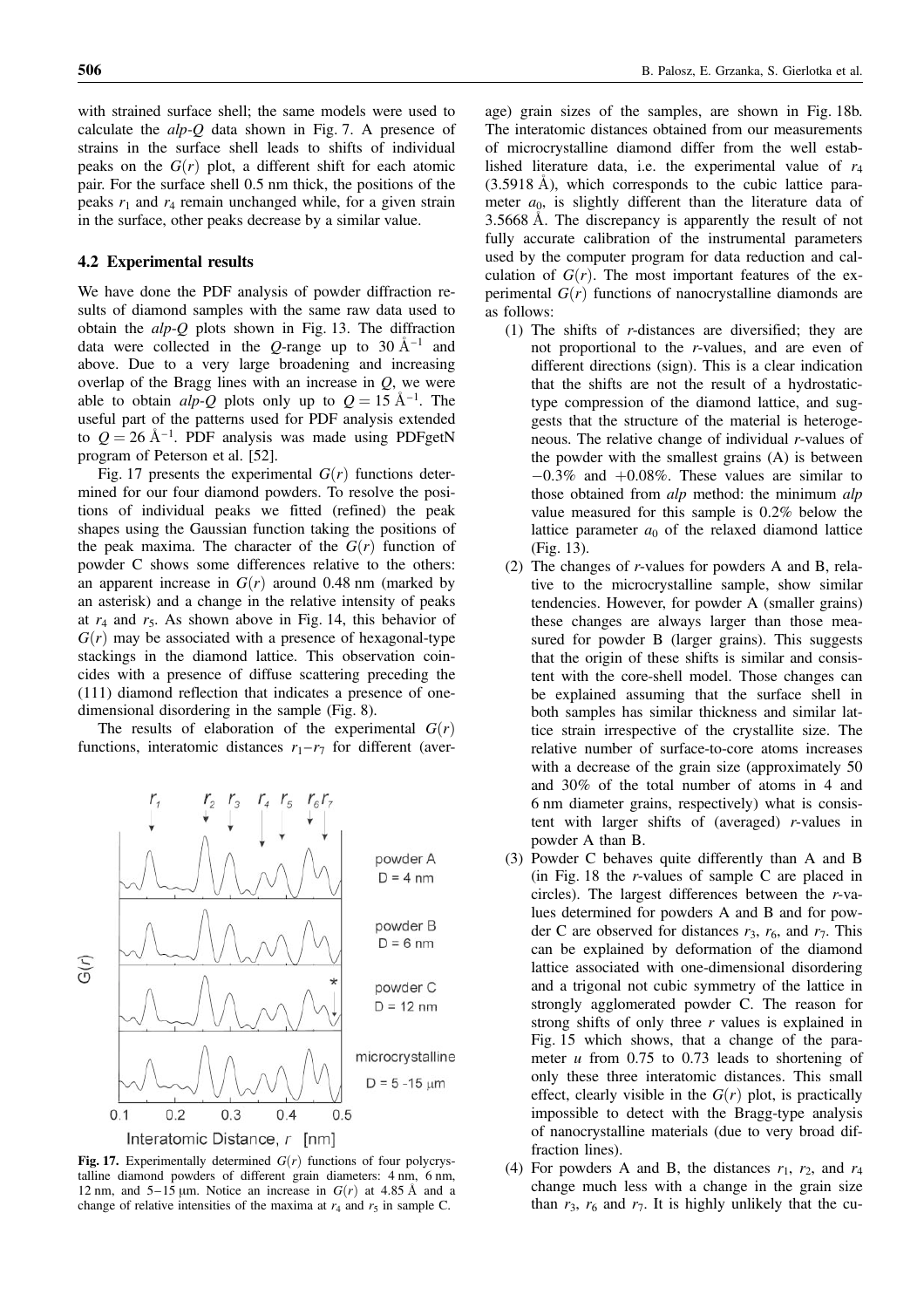with strained surface shell; the same models were used to calculate the alp-Q data shown in Fig. 7. A presence of strains in the surface shell leads to shifts of individual peaks on the  $G(r)$  plot, a different shift for each atomic pair. For the surface shell 0.5 nm thick, the positions of the peaks  $r_1$  and  $r_4$  remain unchanged while, for a given strain in the surface, other peaks decrease by a similar value.

# 4.2 Experimental results

We have done the PDF analysis of powder diffraction results of diamond samples with the same raw data used to obtain the alp-Q plots shown in Fig. 13. The diffraction data were collected in the Q-range up to  $30 \text{ Å}^{-1}$  and above. Due to a very large broadening and increasing overlap of the Bragg lines with an increase in  $Q$ , we were able to obtain alp-Q plots only up to  $Q = 15 \text{ Å}^{-1}$ . The useful part of the patterns used for PDF analysis extended to  $Q = 26 \text{ Å}^{-1}$ . PDF analysis was made using PDFgetN program of Peterson et al. [52].

Fig. 17 presents the experimental  $G(r)$  functions determined for our four diamond powders. To resolve the positions of individual peaks we fitted (refined) the peak shapes using the Gaussian function taking the positions of the peak maxima. The character of the  $G(r)$  function of powder C shows some differences relative to the others: an apparent increase in  $G(r)$  around 0.48 nm (marked by an asterisk) and a change in the relative intensity of peaks at  $r_4$  and  $r_5$ . As shown above in Fig. 14, this behavior of  $G(r)$  may be associated with a presence of hexagonal-type stackings in the diamond lattice. This observation coincides with a presence of diffuse scattering preceding the (111) diamond reflection that indicates a presence of onedimensional disordering in the sample (Fig. 8).

The results of elaboration of the experimental  $G(r)$ functions, interatomic distances  $r_1-r_7$  for different (aver-



Fig. 17. Experimentally determined  $G(r)$  functions of four polycrystalline diamond powders of different grain diameters: 4 nm, 6 nm, 12 nm, and 5–15 µm. Notice an increase in  $G(r)$  at 4.85 Å and a change of relative intensities of the maxima at  $r_4$  and  $r_5$  in sample C.

age) grain sizes of the samples, are shown in Fig. 18b. The interatomic distances obtained from our measurements of microcrystalline diamond differ from the well established literature data, i.e. the experimental value of  $r_4$  $(3.5918 \text{ Å})$ , which corresponds to the cubic lattice parameter  $a_0$ , is slightly different than the literature data of 3.5668 A. The discrepancy is apparently the result of not fully accurate calibration of the instrumental parameters used by the computer program for data reduction and calculation of  $G(r)$ . The most important features of the experimental  $G(r)$  functions of nanocrystalline diamonds are as follows:

- (1) The shifts of r-distances are diversified; they are not proportional to the r-values, and are even of different directions (sign). This is a clear indication that the shifts are not the result of a hydrostatictype compression of the diamond lattice, and suggests that the structure of the material is heterogeneous. The relative change of individual r-values of the powder with the smallest grains (A) is between  $-0.3\%$  and  $+0.08\%$ . These values are similar to those obtained from *alp* method: the minimum *alp* value measured for this sample is 0.2% below the lattice parameter  $a_0$  of the relaxed diamond lattice (Fig. 13).
- (2) The changes of r-values for powders A and B, relative to the microcrystalline sample, show similar tendencies. However, for powder A (smaller grains) these changes are always larger than those measured for powder B (larger grains). This suggests that the origin of these shifts is similar and consistent with the core-shell model. Those changes can be explained assuming that the surface shell in both samples has similar thickness and similar lattice strain irrespective of the crystallite size. The relative number of surface-to-core atoms increases with a decrease of the grain size (approximately 50 and 30% of the total number of atoms in 4 and 6 nm diameter grains, respectively) what is consistent with larger shifts of (averaged) r-values in powder A than B.
- (3) Powder C behaves quite differently than A and B (in Fig. 18 the  $r$ -values of sample C are placed in circles). The largest differences between the r-values determined for powders A and B and for powder C are observed for distances  $r_3$ ,  $r_6$ , and  $r_7$ . This can be explained by deformation of the diamond lattice associated with one-dimensional disordering and a trigonal not cubic symmetry of the lattice in strongly agglomerated powder C. The reason for strong shifts of only three r values is explained in Fig. 15 which shows, that a change of the parameter  $u$  from 0.75 to 0.73 leads to shortening of only these three interatomic distances. This small effect, clearly visible in the  $G(r)$  plot, is practically impossible to detect with the Bragg-type analysis of nanocrystalline materials (due to very broad diffraction lines).
- (4) For powders A and B, the distances  $r_1$ ,  $r_2$ , and  $r_4$ change much less with a change in the grain size than  $r_3$ ,  $r_6$  and  $r_7$ . It is highly unlikely that the cu-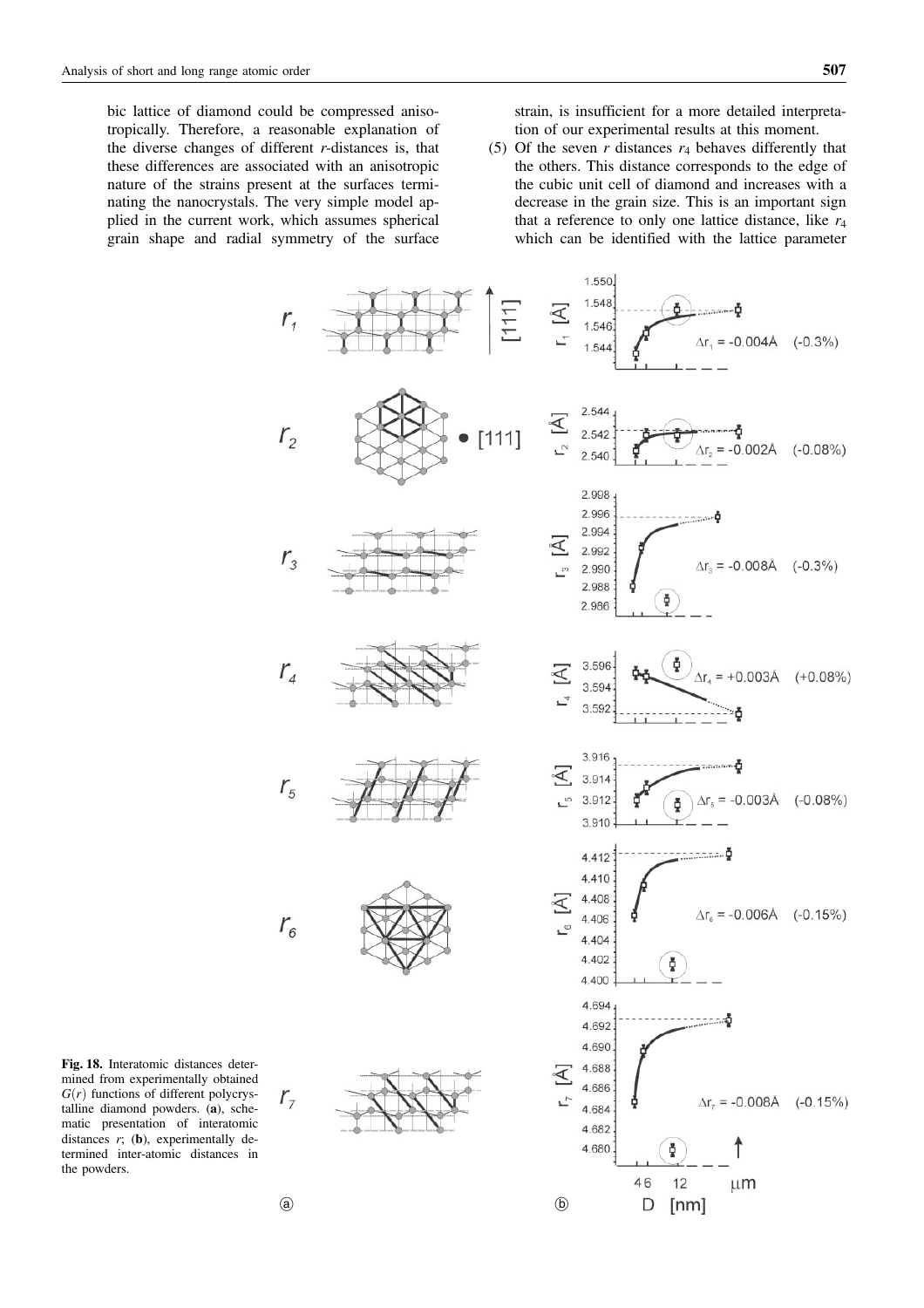bic lattice of diamond could be compressed anisotropically. Therefore, a reasonable explanation of the diverse changes of different r-distances is, that these differences are associated with an anisotropic nature of the strains present at the surfaces terminating the nanocrystals. The very simple model applied in the current work, which assumes spherical grain shape and radial symmetry of the surface strain, is insufficient for a more detailed interpretation of our experimental results at this moment.

(5) Of the seven r distances  $r_4$  behaves differently that the others. This distance corresponds to the edge of the cubic unit cell of diamond and increases with a decrease in the grain size. This is an important sign that a reference to only one lattice distance, like  $r_4$ which can be identified with the lattice parameter



Fig. 18. Interatomic distances determined from experimentally obtained  $G(r)$  functions of different polycrystalline diamond powders. (a), schematic presentation of interatomic distances  $r$ ; (b), experimentally determined inter-atomic distances in the powders.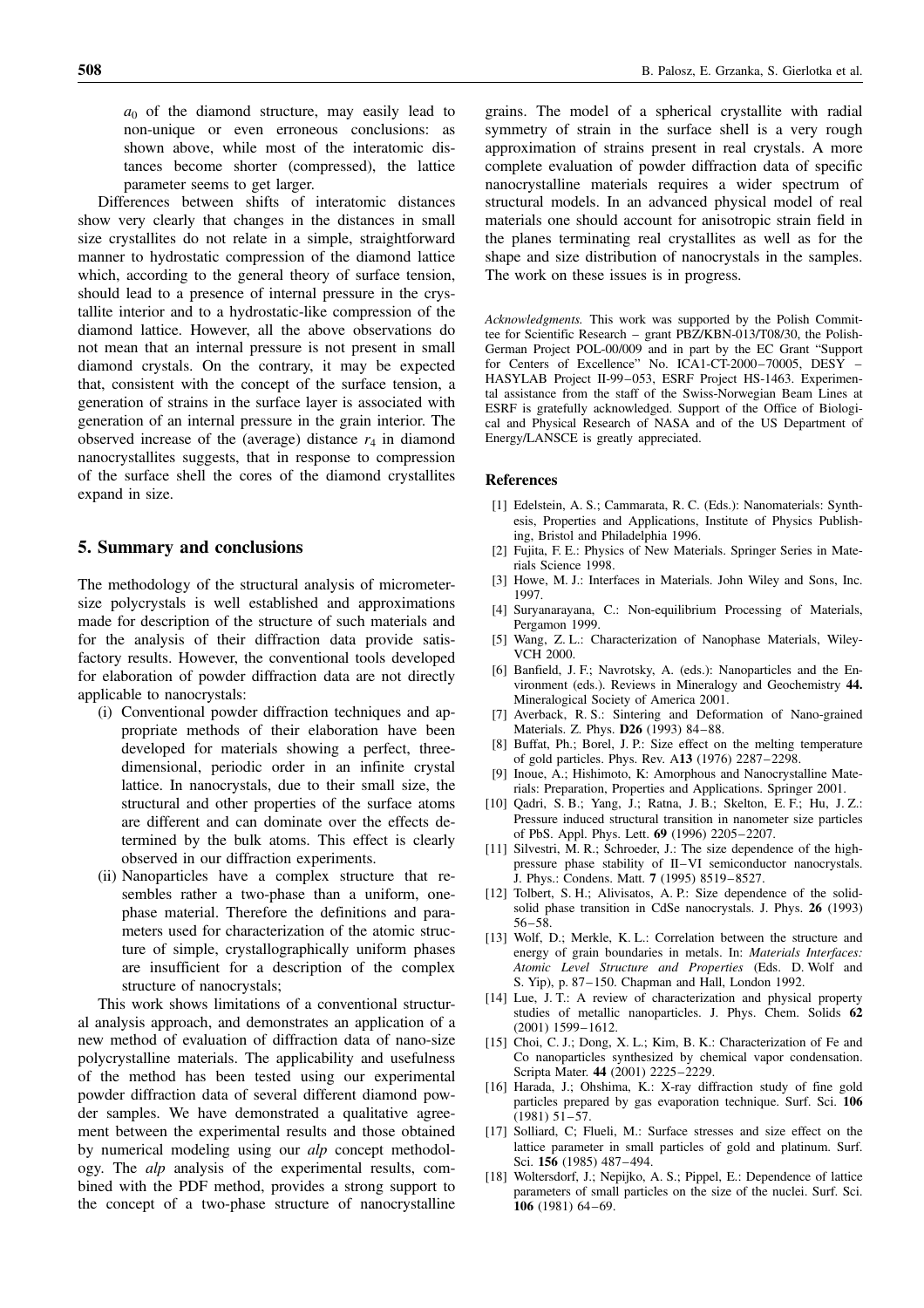$a_0$  of the diamond structure, may easily lead to non-unique or even erroneous conclusions: as shown above, while most of the interatomic distances become shorter (compressed), the lattice parameter seems to get larger.

Differences between shifts of interatomic distances show very clearly that changes in the distances in small size crystallites do not relate in a simple, straightforward manner to hydrostatic compression of the diamond lattice which, according to the general theory of surface tension, should lead to a presence of internal pressure in the crystallite interior and to a hydrostatic-like compression of the diamond lattice. However, all the above observations do not mean that an internal pressure is not present in small diamond crystals. On the contrary, it may be expected that, consistent with the concept of the surface tension, a generation of strains in the surface layer is associated with generation of an internal pressure in the grain interior. The observed increase of the (average) distance  $r_4$  in diamond nanocrystallites suggests, that in response to compression of the surface shell the cores of the diamond crystallites expand in size.

# 5. Summary and conclusions

The methodology of the structural analysis of micrometersize polycrystals is well established and approximations made for description of the structure of such materials and for the analysis of their diffraction data provide satisfactory results. However, the conventional tools developed for elaboration of powder diffraction data are not directly applicable to nanocrystals:

- (i) Conventional powder diffraction techniques and appropriate methods of their elaboration have been developed for materials showing a perfect, threedimensional, periodic order in an infinite crystal lattice. In nanocrystals, due to their small size, the structural and other properties of the surface atoms are different and can dominate over the effects determined by the bulk atoms. This effect is clearly observed in our diffraction experiments.
- (ii) Nanoparticles have a complex structure that resembles rather a two-phase than a uniform, onephase material. Therefore the definitions and parameters used for characterization of the atomic structure of simple, crystallographically uniform phases are insufficient for a description of the complex structure of nanocrystals;

This work shows limitations of a conventional structural analysis approach, and demonstrates an application of a new method of evaluation of diffraction data of nano-size polycrystalline materials. The applicability and usefulness of the method has been tested using our experimental powder diffraction data of several different diamond powder samples. We have demonstrated a qualitative agreement between the experimental results and those obtained by numerical modeling using our alp concept methodology. The alp analysis of the experimental results, combined with the PDF method, provides a strong support to the concept of a two-phase structure of nanocrystalline

grains. The model of a spherical crystallite with radial symmetry of strain in the surface shell is a very rough approximation of strains present in real crystals. A more complete evaluation of powder diffraction data of specific nanocrystalline materials requires a wider spectrum of structural models. In an advanced physical model of real materials one should account for anisotropic strain field in the planes terminating real crystallites as well as for the shape and size distribution of nanocrystals in the samples. The work on these issues is in progress.

Acknowledgments. This work was supported by the Polish Committee for Scientific Research – grant PBZ/KBN-013/T08/30, the Polish-German Project POL-00/009 and in part by the EC Grant "Support for Centers of Excellence" No. ICA1-CT-2000–70005, DESY – HASYLAB Project II-99–053, ESRF Project HS-1463. Experimental assistance from the staff of the Swiss-Norwegian Beam Lines at ESRF is gratefully acknowledged. Support of the Office of Biological and Physical Research of NASA and of the US Department of Energy/LANSCE is greatly appreciated.

#### References

- [1] Edelstein, A. S.; Cammarata, R. C. (Eds.): Nanomaterials: Synthesis, Properties and Applications, Institute of Physics Publishing, Bristol and Philadelphia 1996.
- [2] Fujita, F. E.: Physics of New Materials. Springer Series in Materials Science 1998.
- [3] Howe, M. J.: Interfaces in Materials. John Wiley and Sons, Inc. 1997.
- [4] Suryanarayana, C.: Non-equilibrium Processing of Materials, Pergamon 1999.
- [5] Wang, Z. L.: Characterization of Nanophase Materials, Wiley-VCH 2000.
- [6] Banfield, J. F.; Navrotsky, A. (eds.): Nanoparticles and the Environment (eds.). Reviews in Mineralogy and Geochemistry 44. Mineralogical Society of America 2001.
- [7] Averback, R. S.: Sintering and Deformation of Nano-grained Materials. Z. Phys. D26 (1993) 84–88.
- [8] Buffat, Ph.; Borel, J. P.: Size effect on the melting temperature of gold particles. Phys. Rev. A13 (1976) 2287–2298.
- [9] Inoue, A.; Hishimoto, K: Amorphous and Nanocrystalline Materials: Preparation, Properties and Applications. Springer 2001.
- [10] Qadri, S. B.; Yang, J.; Ratna, J. B.; Skelton, E. F.; Hu, J. Z.: Pressure induced structural transition in nanometer size particles of PbS. Appl. Phys. Lett. 69 (1996) 2205–2207.
- [11] Silvestri, M. R.; Schroeder, J.: The size dependence of the highpressure phase stability of II–VI semiconductor nanocrystals. J. Phys.: Condens. Matt. 7 (1995) 8519–8527.
- [12] Tolbert, S. H.; Alivisatos, A. P.: Size dependence of the solidsolid phase transition in CdSe nanocrystals. J. Phys. 26 (1993) 56–58.
- [13] Wolf, D.; Merkle, K. L.: Correlation between the structure and energy of grain boundaries in metals. In: Materials Interfaces: Atomic Level Structure and Properties (Eds. D. Wolf and S. Yip), p. 87–150. Chapman and Hall, London 1992.
- [14] Lue, J. T.: A review of characterization and physical property studies of metallic nanoparticles. J. Phys. Chem. Solids 62 (2001) 1599–1612.
- [15] Choi, C. J.; Dong, X. L.; Kim, B. K.: Characterization of Fe and Co nanoparticles synthesized by chemical vapor condensation. Scripta Mater. 44 (2001) 2225–2229.
- [16] Harada, J.; Ohshima, K.: X-ray diffraction study of fine gold particles prepared by gas evaporation technique. Surf. Sci. 106  $(1981) 51 - 57.$
- [17] Solliard, C; Flueli, M.: Surface stresses and size effect on the lattice parameter in small particles of gold and platinum. Surf. Sci. 156 (1985) 487–494.
- [18] Woltersdorf, J.; Nepijko, A. S.; Pippel, E.: Dependence of lattice parameters of small particles on the size of the nuclei. Surf. Sci. 106 (1981) 64–69.